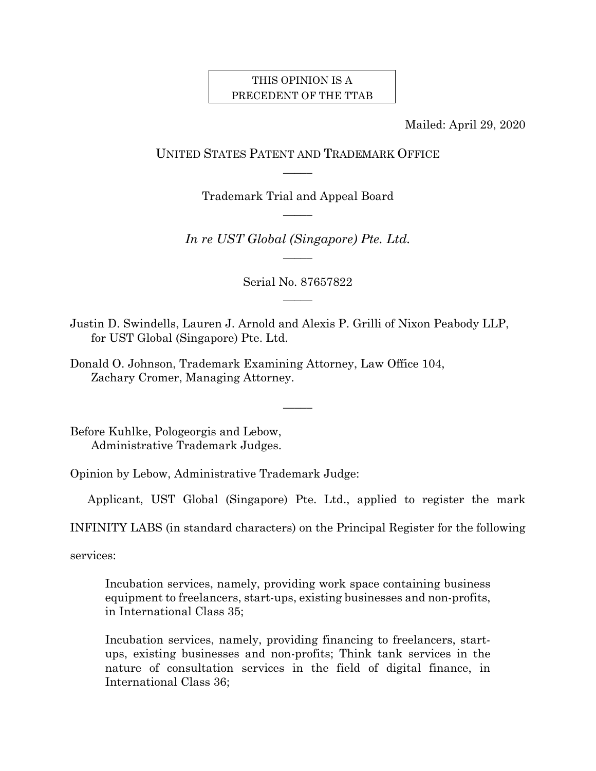## THIS OPINION IS A PRECEDENT OF THE TTAB

Mailed: April 29, 2020

# UNITED STATES PATENT AND TRADEMARK OFFICE  $\overline{\phantom{a}}$

Trademark Trial and Appeal Board  $\overline{\phantom{a}}$ 

*In re UST Global (Singapore) Pte. Ltd.*   $\overline{\phantom{a}}$ 

> Serial No. 87657822  $\overline{\phantom{a}}$

Justin D. Swindells, Lauren J. Arnold and Alexis P. Grilli of Nixon Peabody LLP, for UST Global (Singapore) Pte. Ltd.

 $\overline{\phantom{a}}$ 

Donald O. Johnson, Trademark Examining Attorney, Law Office 104, Zachary Cromer, Managing Attorney.

Before Kuhlke, Pologeorgis and Lebow, Administrative Trademark Judges.

Opinion by Lebow, Administrative Trademark Judge:

Applicant, UST Global (Singapore) Pte. Ltd., applied to register the mark

INFINITY LABS (in standard characters) on the Principal Register for the following

services:

Incubation services, namely, providing work space containing business equipment to freelancers, start-ups, existing businesses and non-profits, in International Class 35;

Incubation services, namely, providing financing to freelancers, startups, existing businesses and non-profits; Think tank services in the nature of consultation services in the field of digital finance, in International Class 36;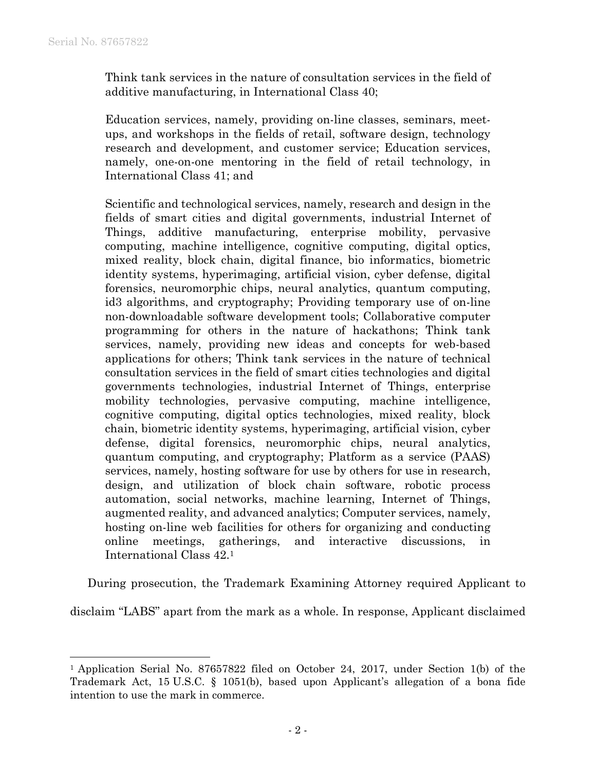l

Think tank services in the nature of consultation services in the field of additive manufacturing, in International Class 40;

Education services, namely, providing on-line classes, seminars, meetups, and workshops in the fields of retail, software design, technology research and development, and customer service; Education services, namely, one-on-one mentoring in the field of retail technology, in International Class 41; and

Scientific and technological services, namely, research and design in the fields of smart cities and digital governments, industrial Internet of Things, additive manufacturing, enterprise mobility, pervasive computing, machine intelligence, cognitive computing, digital optics, mixed reality, block chain, digital finance, bio informatics, biometric identity systems, hyperimaging, artificial vision, cyber defense, digital forensics, neuromorphic chips, neural analytics, quantum computing, id3 algorithms, and cryptography; Providing temporary use of on-line non-downloadable software development tools; Collaborative computer programming for others in the nature of hackathons; Think tank services, namely, providing new ideas and concepts for web-based applications for others; Think tank services in the nature of technical consultation services in the field of smart cities technologies and digital governments technologies, industrial Internet of Things, enterprise mobility technologies, pervasive computing, machine intelligence, cognitive computing, digital optics technologies, mixed reality, block chain, biometric identity systems, hyperimaging, artificial vision, cyber defense, digital forensics, neuromorphic chips, neural analytics, quantum computing, and cryptography; Platform as a service (PAAS) services, namely, hosting software for use by others for use in research, design, and utilization of block chain software, robotic process automation, social networks, machine learning, Internet of Things, augmented reality, and advanced analytics; Computer services, namely, hosting on-line web facilities for others for organizing and conducting online meetings, gatherings, and interactive discussions, in International Class 42.1

During prosecution, the Trademark Examining Attorney required Applicant to

disclaim "LABS" apart from the mark as a whole. In response, Applicant disclaimed

<sup>&</sup>lt;sup>1</sup> Application Serial No. 87657822 filed on October 24, 2017, under Section 1(b) of the Trademark Act, 15 U.S.C. § 1051(b), based upon Applicant's allegation of a bona fide intention to use the mark in commerce.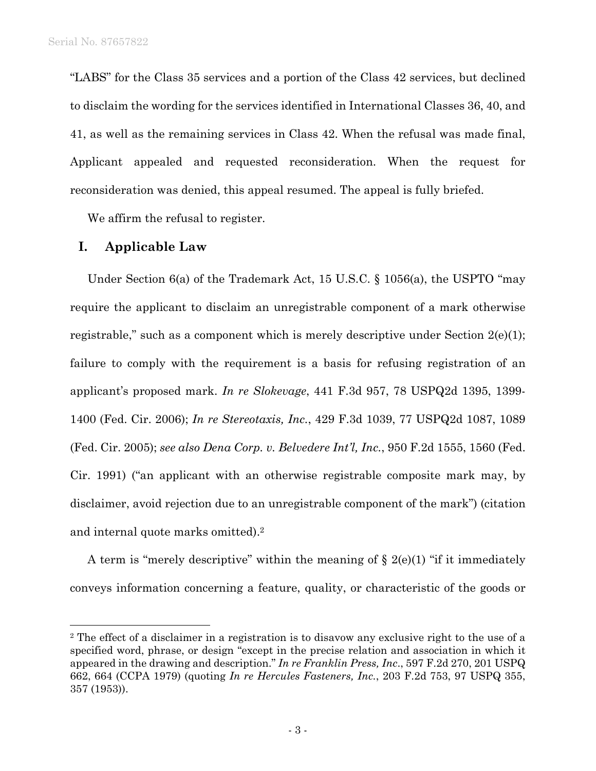1

"LABS" for the Class 35 services and a portion of the Class 42 services, but declined to disclaim the wording for the services identified in International Classes 36, 40, and 41, as well as the remaining services in Class 42. When the refusal was made final, Applicant appealed and requested reconsideration. When the request for reconsideration was denied, this appeal resumed. The appeal is fully briefed.

We affirm the refusal to register.

#### **I. Applicable Law**

Under Section 6(a) of the Trademark Act, 15 U.S.C. § 1056(a), the USPTO "may require the applicant to disclaim an unregistrable component of a mark otherwise registrable," such as a component which is merely descriptive under Section  $2(e)(1)$ ; failure to comply with the requirement is a basis for refusing registration of an applicant's proposed mark. *In re Slokevage*, 441 F.3d 957, 78 USPQ2d 1395, 1399- 1400 (Fed. Cir. 2006); *In re Stereotaxis, Inc.*, 429 F.3d 1039, 77 USPQ2d 1087, 1089 (Fed. Cir. 2005); *see also Dena Corp. v. Belvedere Int'l, Inc.*, 950 F.2d 1555, 1560 (Fed. Cir. 1991) ("an applicant with an otherwise registrable composite mark may, by disclaimer, avoid rejection due to an unregistrable component of the mark") (citation and internal quote marks omitted).2

A term is "merely descriptive" within the meaning of  $\S$  2(e)(1) "if it immediately conveys information concerning a feature, quality, or characteristic of the goods or

<sup>2</sup> The effect of a disclaimer in a registration is to disavow any exclusive right to the use of a specified word, phrase, or design "except in the precise relation and association in which it appeared in the drawing and description." *In re Franklin Press, Inc*., 597 F.2d 270, 201 USPQ 662, 664 (CCPA 1979) (quoting *In re Hercules Fasteners, Inc.*, 203 F.2d 753, 97 USPQ 355, 357 (1953)).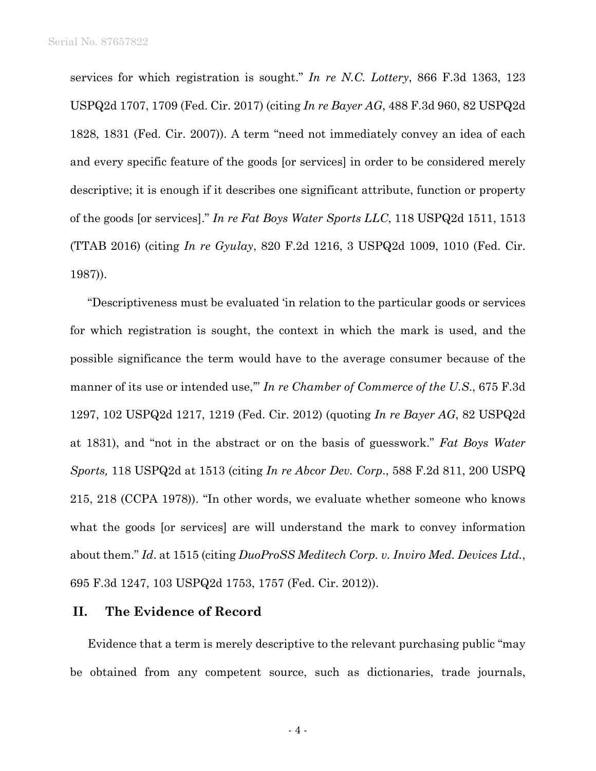services for which registration is sought." *In re N.C. Lottery*, 866 F.3d 1363, 123 USPQ2d 1707, 1709 (Fed. Cir. 2017) (citing *In re Bayer AG*, 488 F.3d 960, 82 USPQ2d 1828, 1831 (Fed. Cir. 2007)). A term "need not immediately convey an idea of each and every specific feature of the goods [or services] in order to be considered merely descriptive; it is enough if it describes one significant attribute, function or property of the goods [or services]." *In re Fat Boys Water Sports LLC*, 118 USPQ2d 1511, 1513 (TTAB 2016) (citing *In re Gyulay*, 820 F.2d 1216, 3 USPQ2d 1009, 1010 (Fed. Cir. 1987)).

"Descriptiveness must be evaluated 'in relation to the particular goods or services for which registration is sought, the context in which the mark is used, and the possible significance the term would have to the average consumer because of the manner of its use or intended use,'" *In re Chamber of Commerce of the U.S*., 675 F.3d 1297, 102 USPQ2d 1217, 1219 (Fed. Cir. 2012) (quoting *In re Bayer AG*, 82 USPQ2d at 1831), and "not in the abstract or on the basis of guesswork." *Fat Boys Water Sports,* 118 USPQ2d at 1513 (citing *In re Abcor Dev. Corp*., 588 F.2d 811, 200 USPQ 215, 218 (CCPA 1978)). "In other words, we evaluate whether someone who knows what the goods [or services] are will understand the mark to convey information about them." *Id*. at 1515 (citing *DuoProSS Meditech Corp. v. Inviro Med. Devices Ltd.*, 695 F.3d 1247, 103 USPQ2d 1753, 1757 (Fed. Cir. 2012)).

#### **II. The Evidence of Record**

Evidence that a term is merely descriptive to the relevant purchasing public "may be obtained from any competent source, such as dictionaries, trade journals,

- 4 -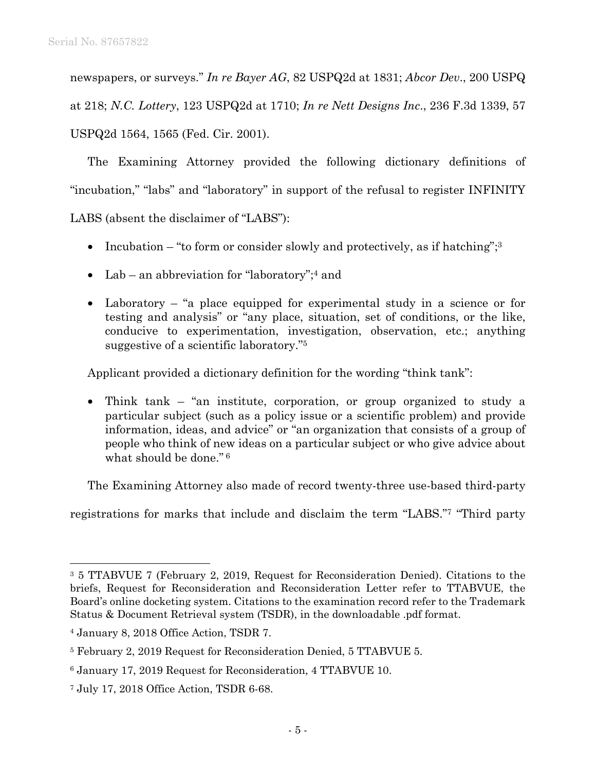newspapers, or surveys." *In re Bayer AG*, 82 USPQ2d at 1831; *Abcor Dev*., 200 USPQ

at 218; *N.C. Lottery*, 123 USPQ2d at 1710; *In re Nett Designs Inc*., 236 F.3d 1339, 57

USPQ2d 1564, 1565 (Fed. Cir. 2001).

The Examining Attorney provided the following dictionary definitions of "incubation," "labs" and "laboratory" in support of the refusal to register INFINITY

LABS (absent the disclaimer of "LABS"):

- Incubation "to form or consider slowly and protectively, as if hatching"; $3$
- Lab an abbreviation for "laboratory";<sup>4</sup> and
- Laboratory "a place equipped for experimental study in a science or for testing and analysis" or "any place, situation, set of conditions, or the like, conducive to experimentation, investigation, observation, etc.; anything suggestive of a scientific laboratory."5

Applicant provided a dictionary definition for the wording "think tank":

• Think tank – "an institute, corporation, or group organized to study a particular subject (such as a policy issue or a scientific problem) and provide information, ideas, and advice" or "an organization that consists of a group of people who think of new ideas on a particular subject or who give advice about what should be done." 6

The Examining Attorney also made of record twenty-three use-based third-party

registrations for marks that include and disclaim the term "LABS."7 "Third party

<sup>3 5</sup> TTABVUE 7 (February 2, 2019, Request for Reconsideration Denied). Citations to the briefs, Request for Reconsideration and Reconsideration Letter refer to TTABVUE, the Board's online docketing system. Citations to the examination record refer to the Trademark Status & Document Retrieval system (TSDR), in the downloadable .pdf format.

<sup>4</sup> January 8, 2018 Office Action, TSDR 7.

<sup>5</sup> February 2, 2019 Request for Reconsideration Denied, 5 TTABVUE 5.

<sup>6</sup> January 17, 2019 Request for Reconsideration, 4 TTABVUE 10.

<sup>7</sup> July 17, 2018 Office Action, TSDR 6-68.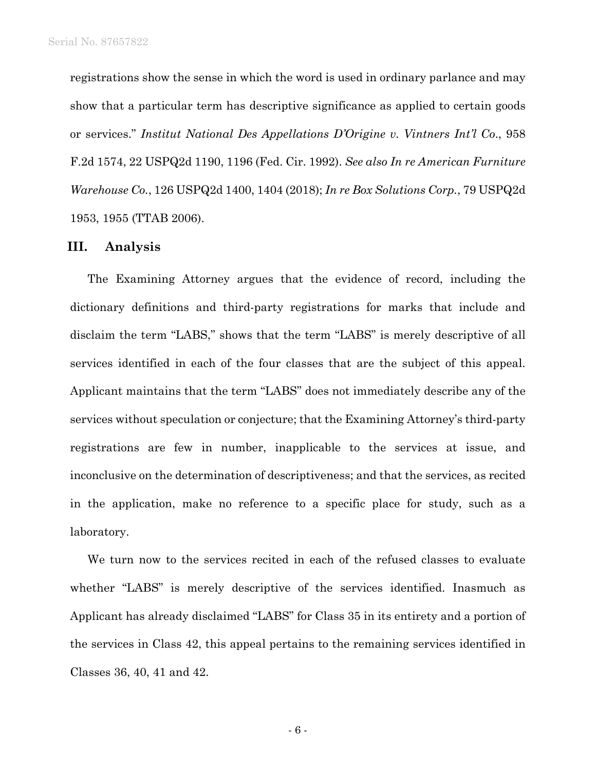registrations show the sense in which the word is used in ordinary parlance and may show that a particular term has descriptive significance as applied to certain goods or services." *Institut National Des Appellations D'Origine v. Vintners Int'l Co*., 958 F.2d 1574, 22 USPQ2d 1190, 1196 (Fed. Cir. 1992). *See also In re American Furniture Warehouse Co.*, 126 USPQ2d 1400, 1404 (2018); *In re Box Solutions Corp.*, 79 USPQ2d 1953, 1955 (TTAB 2006).

#### **III. Analysis**

The Examining Attorney argues that the evidence of record, including the dictionary definitions and third-party registrations for marks that include and disclaim the term "LABS," shows that the term "LABS" is merely descriptive of all services identified in each of the four classes that are the subject of this appeal. Applicant maintains that the term "LABS" does not immediately describe any of the services without speculation or conjecture; that the Examining Attorney's third-party registrations are few in number, inapplicable to the services at issue, and inconclusive on the determination of descriptiveness; and that the services, as recited in the application, make no reference to a specific place for study, such as a laboratory.

We turn now to the services recited in each of the refused classes to evaluate whether "LABS" is merely descriptive of the services identified. Inasmuch as Applicant has already disclaimed "LABS" for Class 35 in its entirety and a portion of the services in Class 42, this appeal pertains to the remaining services identified in Classes 36, 40, 41 and 42.

- 6 -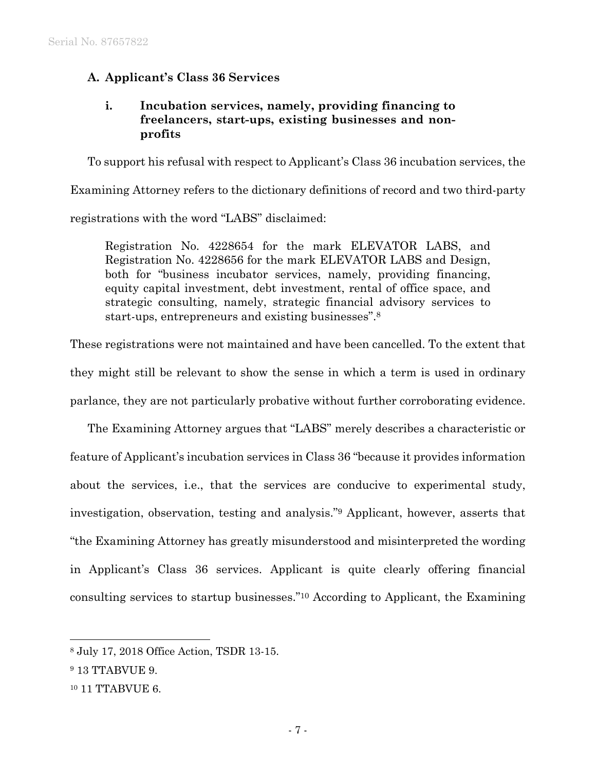# **A. Applicant's Class 36 Services**

## **i. Incubation services, namely, providing financing to freelancers, start-ups, existing businesses and nonprofits**

To support his refusal with respect to Applicant's Class 36 incubation services, the Examining Attorney refers to the dictionary definitions of record and two third-party registrations with the word "LABS" disclaimed:

Registration No. 4228654 for the mark ELEVATOR LABS, and Registration No. 4228656 for the mark ELEVATOR LABS and Design, both for "business incubator services, namely, providing financing, equity capital investment, debt investment, rental of office space, and strategic consulting, namely, strategic financial advisory services to start-ups, entrepreneurs and existing businesses".8

These registrations were not maintained and have been cancelled. To the extent that they might still be relevant to show the sense in which a term is used in ordinary parlance, they are not particularly probative without further corroborating evidence.

The Examining Attorney argues that "LABS" merely describes a characteristic or feature of Applicant's incubation services in Class 36 "because it provides information about the services, i.e., that the services are conducive to experimental study, investigation, observation, testing and analysis."9 Applicant, however, asserts that "the Examining Attorney has greatly misunderstood and misinterpreted the wording in Applicant's Class 36 services. Applicant is quite clearly offering financial consulting services to startup businesses."10 According to Applicant, the Examining

l

<sup>8</sup> July 17, 2018 Office Action, TSDR 13-15.

<sup>9 13</sup> TTABVUE 9.

<sup>&</sup>lt;sup>10</sup> 11 TTABVUE 6.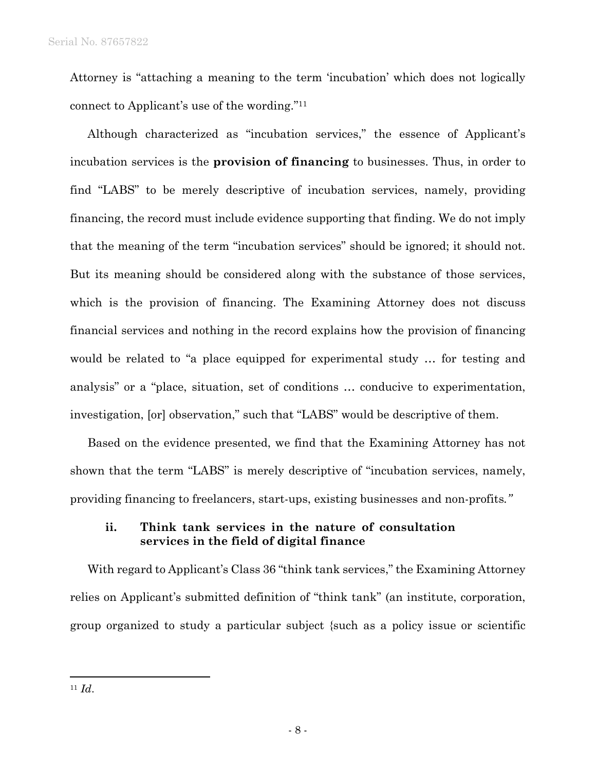Attorney is "attaching a meaning to the term 'incubation' which does not logically connect to Applicant's use of the wording."11

Although characterized as "incubation services," the essence of Applicant's incubation services is the **provision of financing** to businesses. Thus, in order to find "LABS" to be merely descriptive of incubation services, namely, providing financing, the record must include evidence supporting that finding. We do not imply that the meaning of the term "incubation services" should be ignored; it should not. But its meaning should be considered along with the substance of those services, which is the provision of financing. The Examining Attorney does not discuss financial services and nothing in the record explains how the provision of financing would be related to "a place equipped for experimental study … for testing and analysis" or a "place, situation, set of conditions … conducive to experimentation, investigation, [or] observation," such that "LABS" would be descriptive of them.

Based on the evidence presented, we find that the Examining Attorney has not shown that the term "LABS" is merely descriptive of "incubation services, namely, providing financing to freelancers, start-ups, existing businesses and non-profits*."* 

### **ii. Think tank services in the nature of consultation services in the field of digital finance**

With regard to Applicant's Class 36 "think tank services," the Examining Attorney relies on Applicant's submitted definition of "think tank" (an institute, corporation, group organized to study a particular subject {such as a policy issue or scientific

<sup>11</sup> *Id*.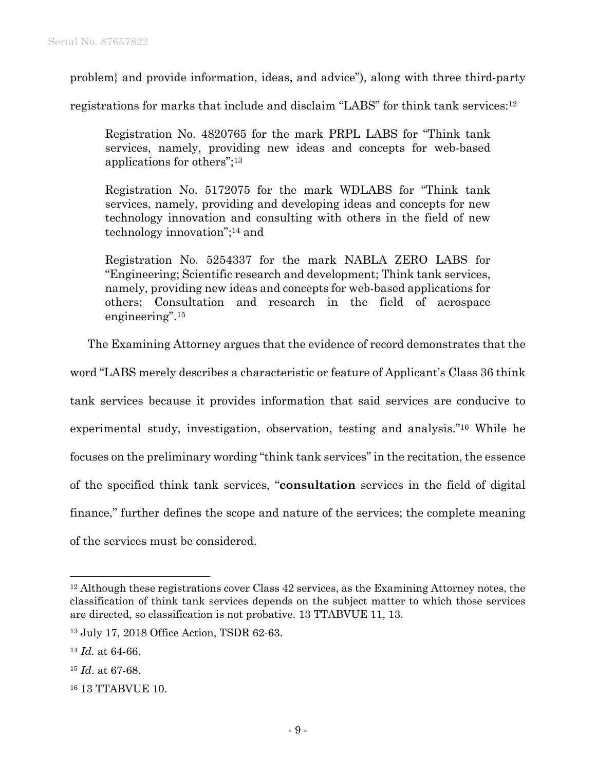problem} and provide information, ideas, and advice"), along with three third-party

registrations for marks that include and disclaim "LABS" for think tank services:12

Registration No. 4820765 for the mark PRPL LABS for "Think tank services, namely, providing new ideas and concepts for web-based applications for others";13

Registration No. 5172075 for the mark WDLABS for "Think tank services, namely, providing and developing ideas and concepts for new technology innovation and consulting with others in the field of new technology innovation";14 and

Registration No. 5254337 for the mark NABLA ZERO LABS for "Engineering; Scientific research and development; Think tank services, namely, providing new ideas and concepts for web-based applications for others; Consultation and research in the field of aerospace engineering".15

The Examining Attorney argues that the evidence of record demonstrates that the

word "LABS merely describes a characteristic or feature of Applicant's Class 36 think tank services because it provides information that said services are conducive to experimental study, investigation, observation, testing and analysis."16 While he focuses on the preliminary wording "think tank services" in the recitation, the essence of the specified think tank services, "**consultation** services in the field of digital finance," further defines the scope and nature of the services; the complete meaning of the services must be considered.

l

<sup>&</sup>lt;sup>12</sup> Although these registrations cover Class 42 services, as the Examining Attorney notes, the classification of think tank services depends on the subject matter to which those services are directed, so classification is not probative. 13 TTABVUE 11, 13.

<sup>13</sup> July 17, 2018 Office Action, TSDR 62-63.

<sup>14</sup> *Id.* at 64-66.

<sup>15</sup> *Id*. at 67-68.

<sup>16 13</sup> TTABVUE 10.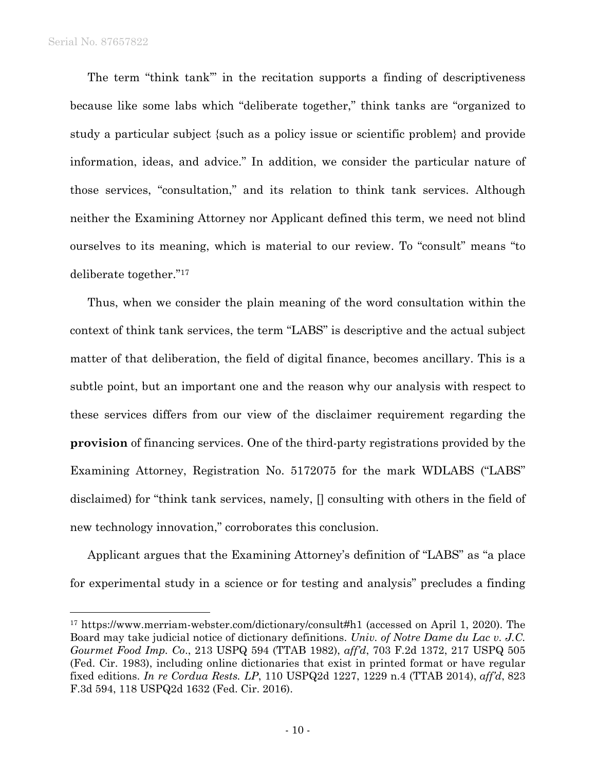$\overline{a}$ 

The term "think tank'" in the recitation supports a finding of descriptiveness because like some labs which "deliberate together," think tanks are "organized to study a particular subject {such as a policy issue or scientific problem} and provide information, ideas, and advice." In addition, we consider the particular nature of those services, "consultation," and its relation to think tank services. Although neither the Examining Attorney nor Applicant defined this term, we need not blind ourselves to its meaning, which is material to our review. To "consult" means "to deliberate together."17

Thus, when we consider the plain meaning of the word consultation within the context of think tank services, the term "LABS" is descriptive and the actual subject matter of that deliberation, the field of digital finance, becomes ancillary. This is a subtle point, but an important one and the reason why our analysis with respect to these services differs from our view of the disclaimer requirement regarding the **provision** of financing services. One of the third-party registrations provided by the Examining Attorney, Registration No. 5172075 for the mark WDLABS ("LABS" disclaimed) for "think tank services, namely, [] consulting with others in the field of new technology innovation," corroborates this conclusion.

Applicant argues that the Examining Attorney's definition of "LABS" as "a place for experimental study in a science or for testing and analysis" precludes a finding

<sup>17</sup> https://www.merriam-webster.com/dictionary/consult#h1 (accessed on April 1, 2020). The Board may take judicial notice of dictionary definitions. *Univ. of Notre Dame du Lac v. J.C. Gourmet Food Imp. Co*., 213 USPQ 594 (TTAB 1982), *aff'd*, 703 F.2d 1372, 217 USPQ 505 (Fed. Cir. 1983), including online dictionaries that exist in printed format or have regular fixed editions. *In re Cordua Rests. LP*, 110 USPQ2d 1227, 1229 n.4 (TTAB 2014), *aff'd*, 823 F.3d 594, 118 USPQ2d 1632 (Fed. Cir. 2016).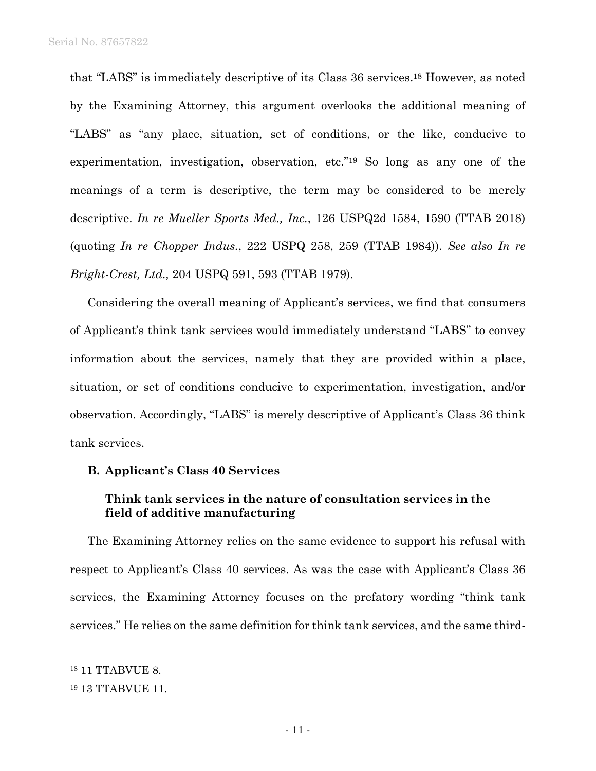that "LABS" is immediately descriptive of its Class 36 services.18 However, as noted by the Examining Attorney, this argument overlooks the additional meaning of "LABS" as "any place, situation, set of conditions, or the like, conducive to experimentation, investigation, observation, etc."19 So long as any one of the meanings of a term is descriptive, the term may be considered to be merely descriptive. *In re Mueller Sports Med., Inc.*, 126 USPQ2d 1584, 1590 (TTAB 2018) (quoting *In re Chopper Indus.*, 222 USPQ 258, 259 (TTAB 1984)). *See also In re Bright-Crest, Ltd.,* 204 USPQ 591, 593 (TTAB 1979).

Considering the overall meaning of Applicant's services, we find that consumers of Applicant's think tank services would immediately understand "LABS" to convey information about the services, namely that they are provided within a place, situation, or set of conditions conducive to experimentation, investigation, and/or observation. Accordingly, "LABS" is merely descriptive of Applicant's Class 36 think tank services.

#### **B. Applicant's Class 40 Services**

## **Think tank services in the nature of consultation services in the field of additive manufacturing**

The Examining Attorney relies on the same evidence to support his refusal with respect to Applicant's Class 40 services. As was the case with Applicant's Class 36 services, the Examining Attorney focuses on the prefatory wording "think tank services." He relies on the same definition for think tank services, and the same third-

<sup>18 11</sup> TTABVUE 8.

<sup>19 13</sup> TTABVUE 11.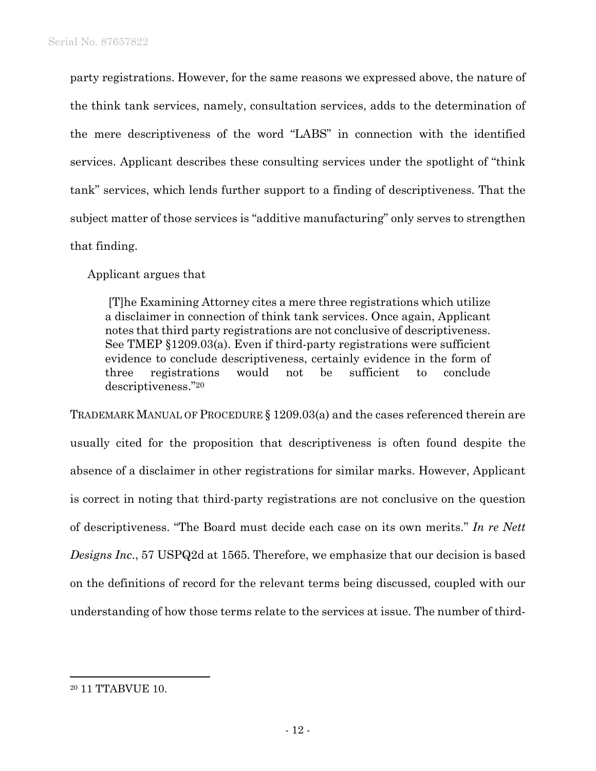party registrations. However, for the same reasons we expressed above, the nature of the think tank services, namely, consultation services, adds to the determination of the mere descriptiveness of the word "LABS" in connection with the identified services. Applicant describes these consulting services under the spotlight of "think tank" services, which lends further support to a finding of descriptiveness. That the subject matter of those services is "additive manufacturing" only serves to strengthen that finding.

Applicant argues that

 [T]he Examining Attorney cites a mere three registrations which utilize a disclaimer in connection of think tank services. Once again, Applicant notes that third party registrations are not conclusive of descriptiveness. See TMEP §1209.03(a). Even if third-party registrations were sufficient evidence to conclude descriptiveness, certainly evidence in the form of three registrations would not be sufficient to conclude descriptiveness."20

TRADEMARK MANUAL OF PROCEDURE § 1209.03(a) and the cases referenced therein are usually cited for the proposition that descriptiveness is often found despite the absence of a disclaimer in other registrations for similar marks. However, Applicant is correct in noting that third-party registrations are not conclusive on the question of descriptiveness. "The Board must decide each case on its own merits." *In re Nett Designs Inc*., 57 USPQ2d at 1565. Therefore, we emphasize that our decision is based on the definitions of record for the relevant terms being discussed, coupled with our understanding of how those terms relate to the services at issue. The number of third-

1

<sup>20 11</sup> TTABVUE 10.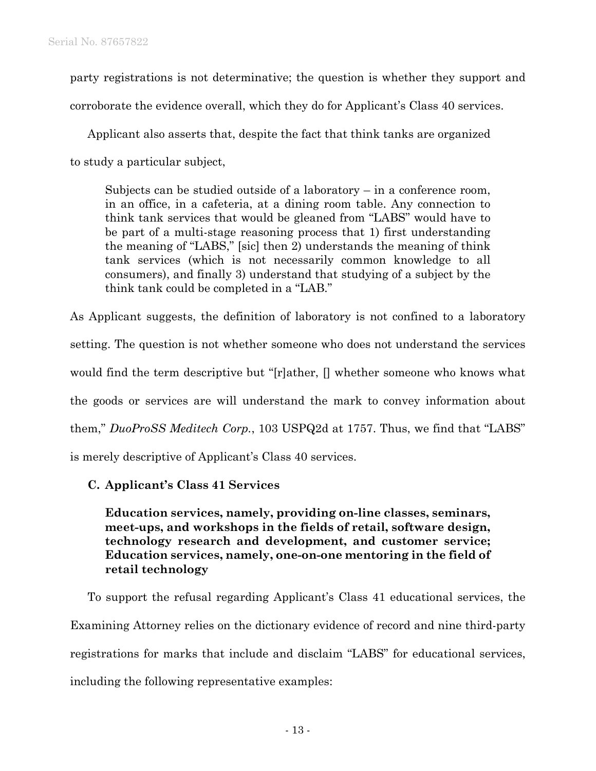party registrations is not determinative; the question is whether they support and corroborate the evidence overall, which they do for Applicant's Class 40 services.

Applicant also asserts that, despite the fact that think tanks are organized to study a particular subject,

Subjects can be studied outside of a laboratory – in a conference room, in an office, in a cafeteria, at a dining room table. Any connection to think tank services that would be gleaned from "LABS" would have to be part of a multi-stage reasoning process that 1) first understanding the meaning of "LABS," [sic] then 2) understands the meaning of think tank services (which is not necessarily common knowledge to all consumers), and finally 3) understand that studying of a subject by the think tank could be completed in a "LAB."

As Applicant suggests, the definition of laboratory is not confined to a laboratory setting. The question is not whether someone who does not understand the services would find the term descriptive but "[r]ather, [] whether someone who knows what the goods or services are will understand the mark to convey information about them," *DuoProSS Meditech Corp.*, 103 USPQ2d at 1757. Thus, we find that "LABS" is merely descriptive of Applicant's Class 40 services.

# **C. Applicant's Class 41 Services**

**Education services, namely, providing on-line classes, seminars, meet-ups, and workshops in the fields of retail, software design, technology research and development, and customer service; Education services, namely, one-on-one mentoring in the field of retail technology** 

To support the refusal regarding Applicant's Class 41 educational services, the Examining Attorney relies on the dictionary evidence of record and nine third-party registrations for marks that include and disclaim "LABS" for educational services, including the following representative examples: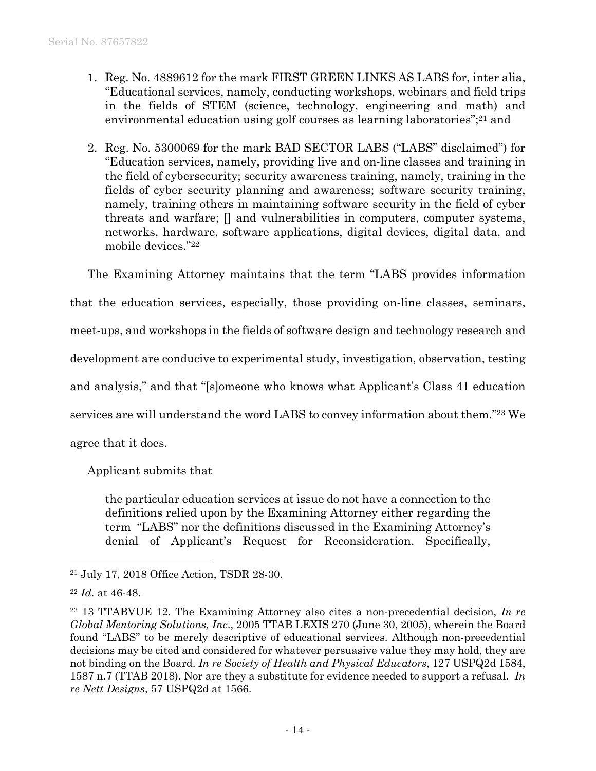- 1. Reg. No. 4889612 for the mark FIRST GREEN LINKS AS LABS for, inter alia, "Educational services, namely, conducting workshops, webinars and field trips in the fields of STEM (science, technology, engineering and math) and environmental education using golf courses as learning laboratories";<sup>21</sup> and
- 2. Reg. No. 5300069 for the mark BAD SECTOR LABS ("LABS" disclaimed") for "Education services, namely, providing live and on-line classes and training in the field of cybersecurity; security awareness training, namely, training in the fields of cyber security planning and awareness; software security training, namely, training others in maintaining software security in the field of cyber threats and warfare; [] and vulnerabilities in computers, computer systems, networks, hardware, software applications, digital devices, digital data, and mobile devices."22

The Examining Attorney maintains that the term "LABS provides information that the education services, especially, those providing on-line classes, seminars, meet-ups, and workshops in the fields of software design and technology research and development are conducive to experimental study, investigation, observation, testing and analysis," and that "[s]omeone who knows what Applicant's Class 41 education services are will understand the word LABS to convey information about them."23 We agree that it does.

Applicant submits that

the particular education services at issue do not have a connection to the definitions relied upon by the Examining Attorney either regarding the term "LABS" nor the definitions discussed in the Examining Attorney's denial of Applicant's Request for Reconsideration. Specifically,

1

<sup>21</sup> July 17, 2018 Office Action, TSDR 28-30.

<sup>22</sup> *Id.* at 46-48.

<sup>23 13</sup> TTABVUE 12. The Examining Attorney also cites a non-precedential decision, *In re Global Mentoring Solutions, Inc*., 2005 TTAB LEXIS 270 (June 30, 2005), wherein the Board found "LABS" to be merely descriptive of educational services. Although non-precedential decisions may be cited and considered for whatever persuasive value they may hold, they are not binding on the Board. *In re Society of Health and Physical Educators*, 127 USPQ2d 1584, 1587 n.7 (TTAB 2018). Nor are they a substitute for evidence needed to support a refusal. *In re Nett Designs*, 57 USPQ2d at 1566.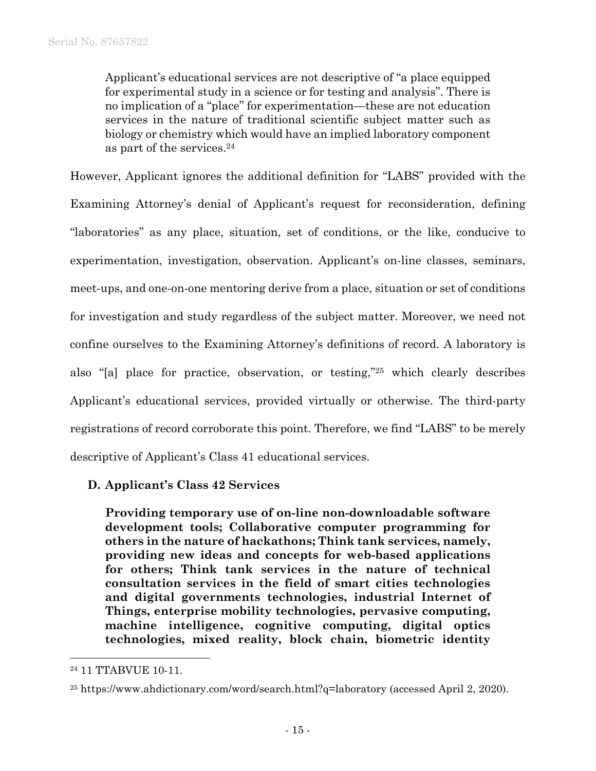Applicant's educational services are not descriptive of "a place equipped for experimental study in a science or for testing and analysis". There is no implication of a "place" for experimentation—these are not education services in the nature of traditional scientific subject matter such as biology or chemistry which would have an implied laboratory component as part of the services.24

However, Applicant ignores the additional definition for "LABS" provided with the Examining Attorney's denial of Applicant's request for reconsideration, defining "laboratories" as any place, situation, set of conditions, or the like, conducive to experimentation, investigation, observation. Applicant's on-line classes, seminars, meet-ups, and one-on-one mentoring derive from a place, situation or set of conditions for investigation and study regardless of the subject matter. Moreover, we need not confine ourselves to the Examining Attorney's definitions of record. A laboratory is also "[a] place for practice, observation, or testing,"25 which clearly describes Applicant's educational services, provided virtually or otherwise. The third-party registrations of record corroborate this point. Therefore, we find "LABS" to be merely descriptive of Applicant's Class 41 educational services.

# **D. Applicant's Class 42 Services**

**Providing temporary use of on-line non-downloadable software development tools; Collaborative computer programming for others in the nature of hackathons; Think tank services, namely, providing new ideas and concepts for web-based applications for others; Think tank services in the nature of technical consultation services in the field of smart cities technologies and digital governments technologies, industrial Internet of Things, enterprise mobility technologies, pervasive computing, machine intelligence, cognitive computing, digital optics technologies, mixed reality, block chain, biometric identity** 

<sup>24 11</sup> TTABVUE 10-11.

<sup>25</sup> https://www.ahdictionary.com/word/search.html?q=laboratory (accessed April 2, 2020).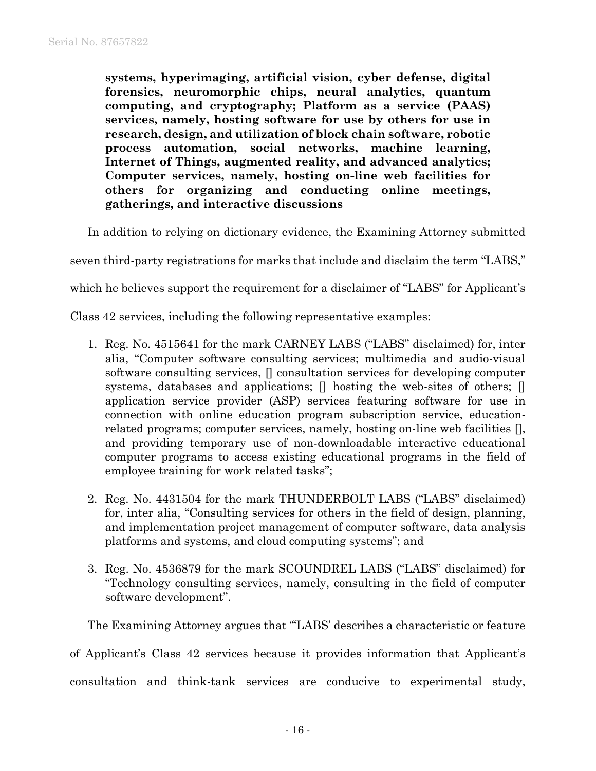**systems, hyperimaging, artificial vision, cyber defense, digital forensics, neuromorphic chips, neural analytics, quantum computing, and cryptography; Platform as a service (PAAS) services, namely, hosting software for use by others for use in research, design, and utilization of block chain software, robotic process automation, social networks, machine learning, Internet of Things, augmented reality, and advanced analytics; Computer services, namely, hosting on-line web facilities for others for organizing and conducting online meetings, gatherings, and interactive discussions**

In addition to relying on dictionary evidence, the Examining Attorney submitted

seven third-party registrations for marks that include and disclaim the term "LABS,"

which he believes support the requirement for a disclaimer of "LABS" for Applicant's

Class 42 services, including the following representative examples:

- 1. Reg. No. 4515641 for the mark CARNEY LABS ("LABS" disclaimed) for, inter alia, "Computer software consulting services; multimedia and audio-visual software consulting services, [] consultation services for developing computer systems, databases and applications;  $\Box$  hosting the web-sites of others;  $\Box$ application service provider (ASP) services featuring software for use in connection with online education program subscription service, educationrelated programs; computer services, namely, hosting on-line web facilities [], and providing temporary use of non-downloadable interactive educational computer programs to access existing educational programs in the field of employee training for work related tasks";
- 2. Reg. No. 4431504 for the mark THUNDERBOLT LABS ("LABS" disclaimed) for, inter alia, "Consulting services for others in the field of design, planning, and implementation project management of computer software, data analysis platforms and systems, and cloud computing systems"; and
- 3. Reg. No. 4536879 for the mark SCOUNDREL LABS ("LABS" disclaimed) for "Technology consulting services, namely, consulting in the field of computer software development".

The Examining Attorney argues that "'LABS' describes a characteristic or feature

of Applicant's Class 42 services because it provides information that Applicant's

consultation and think-tank services are conducive to experimental study,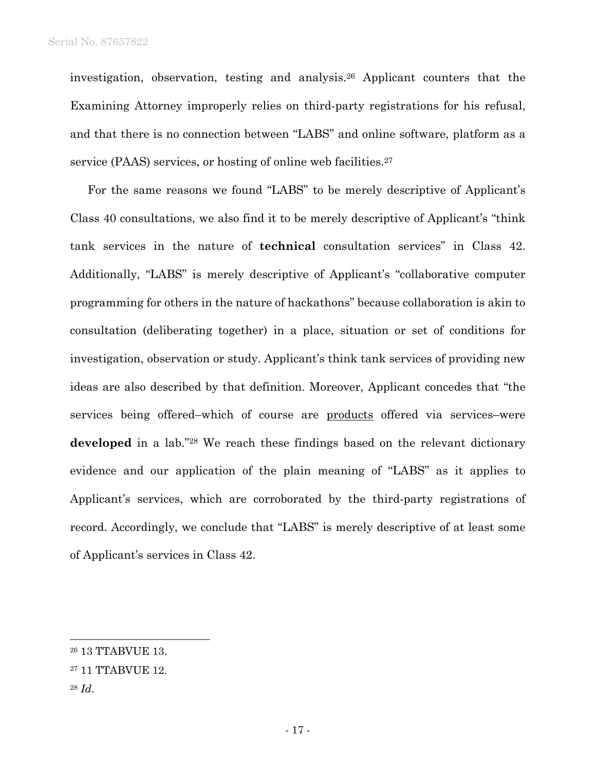investigation, observation, testing and analysis.26 Applicant counters that the Examining Attorney improperly relies on third-party registrations for his refusal, and that there is no connection between "LABS" and online software, platform as a service (PAAS) services, or hosting of online web facilities.<sup>27</sup>

For the same reasons we found "LABS" to be merely descriptive of Applicant's Class 40 consultations, we also find it to be merely descriptive of Applicant's "think tank services in the nature of **technical** consultation services" in Class 42. Additionally, "LABS" is merely descriptive of Applicant's "collaborative computer programming for others in the nature of hackathons" because collaboration is akin to consultation (deliberating together) in a place, situation or set of conditions for investigation, observation or study. Applicant's think tank services of providing new ideas are also described by that definition. Moreover, Applicant concedes that "the services being offered–which of course are products offered via services–were developed in a lab."<sup>28</sup> We reach these findings based on the relevant dictionary evidence and our application of the plain meaning of "LABS" as it applies to Applicant's services, which are corroborated by the third-party registrations of record. Accordingly, we conclude that "LABS" is merely descriptive of at least some of Applicant's services in Class 42.

l

<sup>26 13</sup> TTABVUE 13.

<sup>27 11</sup> TTABVUE 12.

<sup>28</sup> *Id*.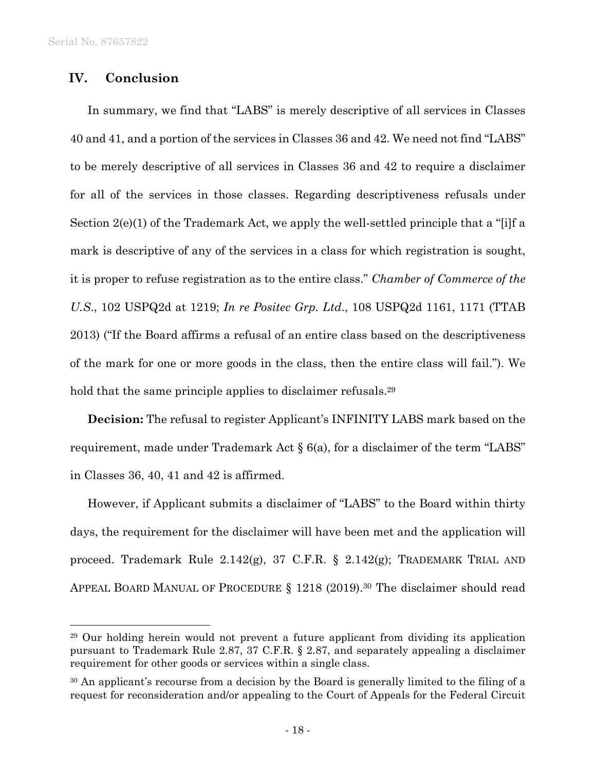$\overline{a}$ 

## **IV. Conclusion**

In summary, we find that "LABS" is merely descriptive of all services in Classes 40 and 41, and a portion of the services in Classes 36 and 42. We need not find "LABS" to be merely descriptive of all services in Classes 36 and 42 to require a disclaimer for all of the services in those classes. Regarding descriptiveness refusals under Section 2(e)(1) of the Trademark Act, we apply the well-settled principle that a "[i]f a mark is descriptive of any of the services in a class for which registration is sought, it is proper to refuse registration as to the entire class." *Chamber of Commerce of the U.S*., 102 USPQ2d at 1219; *In re Positec Grp. Ltd*., 108 USPQ2d 1161, 1171 (TTAB 2013) ("If the Board affirms a refusal of an entire class based on the descriptiveness of the mark for one or more goods in the class, then the entire class will fail."). We hold that the same principle applies to disclaimer refusals.<sup>29</sup>

**Decision:** The refusal to register Applicant's INFINITY LABS mark based on the requirement, made under Trademark Act § 6(a), for a disclaimer of the term "LABS" in Classes 36, 40, 41 and 42 is affirmed.

However, if Applicant submits a disclaimer of "LABS" to the Board within thirty days, the requirement for the disclaimer will have been met and the application will proceed. Trademark Rule 2.142(g), 37 C.F.R. § 2.142(g); TRADEMARK TRIAL AND APPEAL BOARD MANUAL OF PROCEDURE  $\S$  1218 (2019).<sup>30</sup> The disclaimer should read

<sup>29</sup> Our holding herein would not prevent a future applicant from dividing its application pursuant to Trademark Rule 2.87, 37 C.F.R. § 2.87, and separately appealing a disclaimer requirement for other goods or services within a single class.

<sup>&</sup>lt;sup>30</sup> An applicant's recourse from a decision by the Board is generally limited to the filing of a request for reconsideration and/or appealing to the Court of Appeals for the Federal Circuit